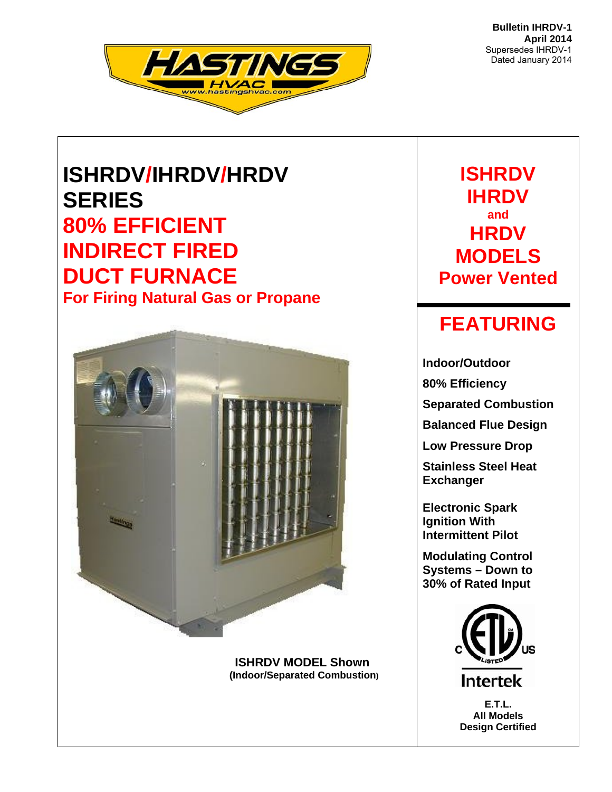**Bulletin IHRDV-1 April 2014**  Supersedes IHRDV-1 Dated January 2014



# **ISHRDV/IHRDV/HRDV SERIES 80% EFFICIENT INDIRECT FIRED DUCT FURNACE For Firing Natural Gas or Propane**



 **ISHRDV MODEL Shown (Indoor/Separated Combustion)** 

**ISHRDV IHRDV and HRDV MODELS Power Vented** 

## **FEATURING**

**Indoor/Outdoor 80% Efficiency Separated Combustion** 

**Balanced Flue Design** 

**Low Pressure Drop** 

**Stainless Steel Heat Exchanger** 

**Electronic Spark Ignition With Intermittent Pilot** 

**Modulating Control Systems – Down to 30% of Rated Input** 



**E.T.L. All Models Design Certified**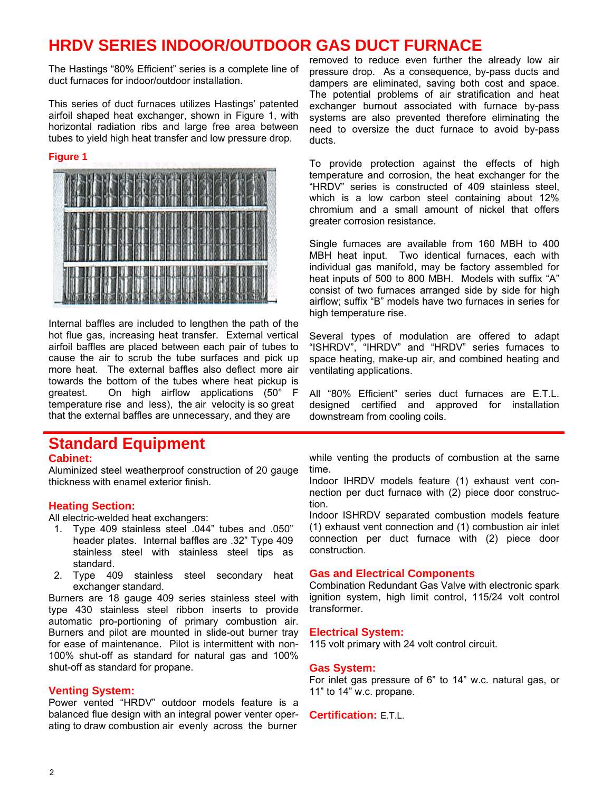## **HRDV SERIES INDOOR/OUTDOOR GAS DUCT FURNACE**

The Hastings "80% Efficient" series is a complete line of duct furnaces for indoor/outdoor installation.

This series of duct furnaces utilizes Hastings' patented airfoil shaped heat exchanger, shown in Figure 1, with horizontal radiation ribs and large free area between tubes to yield high heat transfer and low pressure drop.

#### **Figure 1**



Internal baffles are included to lengthen the path of the hot flue gas, increasing heat transfer. External vertical airfoil baffles are placed between each pair of tubes to cause the air to scrub the tube surfaces and pick up more heat. The external baffles also deflect more air towards the bottom of the tubes where heat pickup is greatest. On high airflow applications (50° F temperature rise and less), the air velocity is so great that the external baffles are unnecessary, and they are

## **Standard Equipment**

#### **Cabinet:**

Aluminized steel weatherproof construction of 20 gauge thickness with enamel exterior finish.

#### **Heating Section:**

All electric-welded heat exchangers:

- 1. Type 409 stainless steel .044" tubes and .050" header plates. Internal baffles are .32" Type 409 stainless steel with stainless steel tips as standard.
- 2. Type 409 stainless steel secondary heat exchanger standard.

Burners are 18 gauge 409 series stainless steel with type 430 stainless steel ribbon inserts to provide automatic pro-portioning of primary combustion air. Burners and pilot are mounted in slide-out burner tray for ease of maintenance. Pilot is intermittent with non-100% shut-off as standard for natural gas and 100% shut-off as standard for propane.

#### **Venting System:**

Power vented "HRDV" outdoor models feature is a balanced flue design with an integral power venter operating to draw combustion air evenly across the burner

removed to reduce even further the already low air pressure drop. As a consequence, by-pass ducts and dampers are eliminated, saving both cost and space. The potential problems of air stratification and heat exchanger burnout associated with furnace by-pass systems are also prevented therefore eliminating the need to oversize the duct furnace to avoid by-pass ducts.

To provide protection against the effects of high temperature and corrosion, the heat exchanger for the "HRDV" series is constructed of 409 stainless steel, which is a low carbon steel containing about 12% chromium and a small amount of nickel that offers greater corrosion resistance.

Single furnaces are available from 160 MBH to 400 MBH heat input. Two identical furnaces, each with individual gas manifold, may be factory assembled for heat inputs of 500 to 800 MBH. Models with suffix "A" consist of two furnaces arranged side by side for high airflow; suffix "B" models have two furnaces in series for high temperature rise.

Several types of modulation are offered to adapt "ISHRDV", "IHRDV" and "HRDV" series furnaces to space heating, make-up air, and combined heating and ventilating applications.

All "80% Efficient" series duct furnaces are E.T.L. designed certified and approved for installation downstream from cooling coils.

while venting the products of combustion at the same time.

Indoor IHRDV models feature (1) exhaust vent connection per duct furnace with (2) piece door construction.

Indoor ISHRDV separated combustion models feature (1) exhaust vent connection and (1) combustion air inlet connection per duct furnace with (2) piece door construction.

#### **Gas and Electrical Components**

Combination Redundant Gas Valve with electronic spark ignition system, high limit control, 115/24 volt control transformer.

#### **Electrical System:**

115 volt primary with 24 volt control circuit.

#### **Gas System:**

For inlet gas pressure of 6" to 14" w.c. natural gas, or 11" to 14" w.c. propane.

#### **Certification:** E.T.L.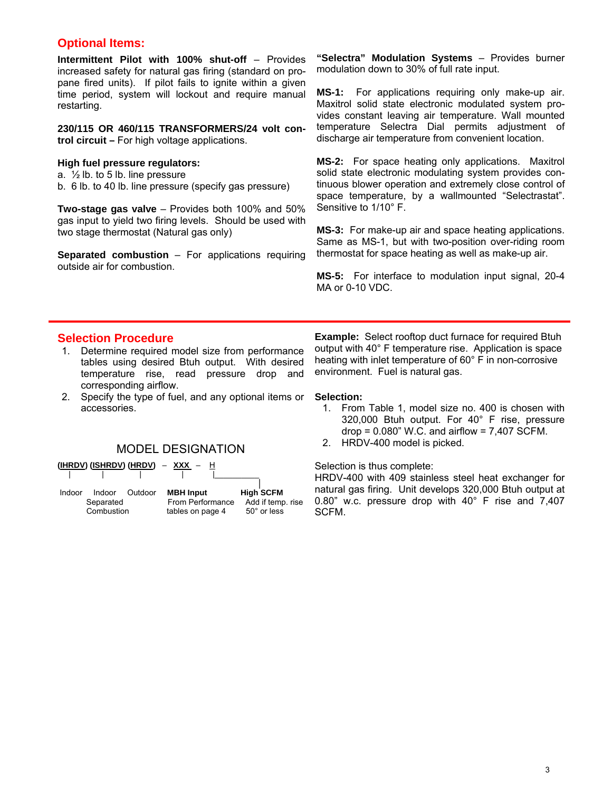### **Optional Items:**

**Intermittent Pilot with 100% shut-off** – Provides increased safety for natural gas firing (standard on propane fired units). If pilot fails to ignite within a given time period, system will lockout and require manual restarting.

**230/115 OR 460/115 TRANSFORMERS/24 volt control circuit –** For high voltage applications.

#### **High fuel pressure regulators:**

a. ½ lb. to 5 lb. line pressure

b. 6 lb. to 40 lb. line pressure (specify gas pressure)

**Two-stage gas valve** – Provides both 100% and 50% gas input to yield two firing levels. Should be used with two stage thermostat (Natural gas only)

**Separated combustion** – For applications requiring outside air for combustion.

**"Selectra" Modulation Systems** – Provides burner modulation down to 30% of full rate input.

**MS-1:** For applications requiring only make-up air. Maxitrol solid state electronic modulated system provides constant leaving air temperature. Wall mounted temperature Selectra Dial permits adjustment of discharge air temperature from convenient location.

**MS-2:** For space heating only applications. Maxitrol solid state electronic modulating system provides continuous blower operation and extremely close control of space temperature, by a wallmounted "Selectrastat". Sensitive to 1/10° F.

**MS-3:** For make-up air and space heating applications. Same as MS-1, but with two-position over-riding room thermostat for space heating as well as make-up air.

**MS-5:** For interface to modulation input signal, 20-4 MA or 0-10 VDC.

### **Selection Procedure**

- 1. Determine required model size from performance tables using desired Btuh output. With desired temperature rise, read pressure drop and corresponding airflow.
- 2. Specify the type of fuel, and any optional items or **Selection:**



Indoor Indoor Outdoor **MBH Input High SCFM**<br>Separated From Performance Add if temp **Separated** From Performance Add if temp. rise<br>Combustion tables on page 4 50° or less tables on page 4

**Example:** Select rooftop duct furnace for required Btuh output with 40° F temperature rise. Application is space heating with inlet temperature of 60° F in non-corrosive environment. Fuel is natural gas.

- accessories. 1. From Table 1, model size no. 400 is chosen with 320,000 Btuh output. For 40° F rise, pressure  $drop = 0.080$ " W.C. and airflow = 7,407 SCFM.
	- 2. HRDV-400 model is picked. MODEL DESIGNATION

Selection is thus complete:

HRDV-400 with 409 stainless steel heat exchanger for natural gas firing. Unit develops 320,000 Btuh output at 0.80" w.c. pressure drop with 40° F rise and 7,407 SCFM.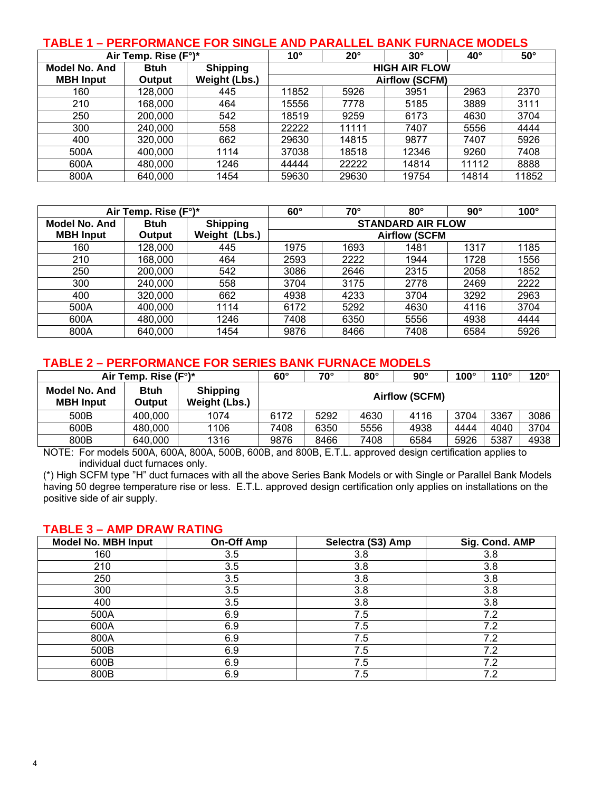### **TABLE 1 – PERFORMANCE FOR SINGLE AND PARALLEL BANK FURNACE MODELS**

|                  | Air Temp. Rise (F°)* |                 | $50^\circ$<br>$10^{\circ}$<br>$20^{\circ}$<br>$30^\circ$<br>$40^{\circ}$ |       |                       |       |       |
|------------------|----------------------|-----------------|--------------------------------------------------------------------------|-------|-----------------------|-------|-------|
| Model No. And    | <b>Btuh</b>          | <b>Shipping</b> |                                                                          |       | <b>HIGH AIR FLOW</b>  |       |       |
| <b>MBH Input</b> | Output               | Weight (Lbs.)   |                                                                          |       | <b>Airflow (SCFM)</b> |       |       |
| 160              | 128,000              | 445             | 11852                                                                    | 5926  | 3951                  | 2963  | 2370  |
| 210              | 168.000              | 464             | 15556                                                                    | 7778  | 5185                  | 3889  | 3111  |
| 250              | 200,000              | 542             | 18519                                                                    | 9259  | 6173                  | 4630  | 3704  |
| 300              | 240,000              | 558             | 22222                                                                    | 11111 | 7407                  | 5556  | 4444  |
| 400              | 320,000              | 662             | 29630                                                                    | 14815 | 9877                  | 7407  | 5926  |
| 500A             | 400,000              | 1114            | 37038                                                                    | 18518 | 12346                 | 9260  | 7408  |
| 600A             | 480,000              | 1246            | 44444                                                                    | 22222 | 14814                 | 11112 | 8888  |
| 800A             | 640,000              | 1454            | 59630                                                                    | 29630 | 19754                 | 14814 | 11852 |

|                  | Air Temp. Rise (F°)* | $60^\circ$<br>70°<br>$80^\circ$<br>$90^\circ$ |      |      |                          |      | $100^\circ$ |
|------------------|----------------------|-----------------------------------------------|------|------|--------------------------|------|-------------|
| Model No. And    | <b>Btuh</b>          | <b>Shipping</b>                               |      |      | <b>STANDARD AIR FLOW</b> |      |             |
| <b>MBH</b> Input | Output               | Weight (Lbs.)                                 |      |      | <b>Airflow (SCFM</b>     |      |             |
| 160              | 128,000              | 445                                           | 1975 | 1693 | 1481                     | 1317 | 1185        |
| 210              | 168,000              | 464                                           | 2593 | 2222 | 1944                     | 1728 | 1556        |
| 250              | 200,000              | 542                                           | 3086 | 2646 | 2315                     | 2058 | 1852        |
| 300              | 240,000              | 558                                           | 3704 | 3175 | 2778                     | 2469 | 2222        |
| 400              | 320,000              | 662                                           | 4938 | 4233 | 3704                     | 3292 | 2963        |
| 500A             | 400,000              | 1114                                          | 6172 | 5292 | 4630                     | 4116 | 3704        |
| 600A             | 480,000              | 1246                                          | 7408 | 6350 | 5556                     | 4938 | 4444        |
| 800A             | 640,000              | 1454                                          | 9876 | 8466 | 7408                     | 6584 | 5926        |

#### **TABLE 2 – PERFORMANCE FOR SERIES BANK FURNACE MODELS**

|                                   | Air Temp. Rise (F°)*  |                                  | $60^\circ$ | 70°<br>$80^\circ$<br>$90^\circ$<br>$100^\circ$<br>$110^\circ$ |      |      |      |      | $120^\circ$ |
|-----------------------------------|-----------------------|----------------------------------|------------|---------------------------------------------------------------|------|------|------|------|-------------|
| Model No. And<br><b>MBH Input</b> | <b>Btuh</b><br>Output | <b>Shipping</b><br>Weight (Lbs.) |            | <b>Airflow (SCFM)</b>                                         |      |      |      |      |             |
| 500B                              | 400,000               | 1074                             | 6172       | 5292                                                          | 4630 | 4116 | 3704 | 3367 | 3086        |
| 600B                              | 480,000               | 1106                             | 7408       | 6350                                                          | 5556 | 4938 | 4444 | 4040 | 3704        |
| 800B                              | 640,000               | 1316                             | 9876       | 8466                                                          | 7408 | 6584 | 5926 | 5387 | 4938        |

NOTE: For models 500A, 600A, 800A, 500B, 600B, and 800B, E.T.L. approved design certification applies to individual duct furnaces only.

(\*) High SCFM type "H" duct furnaces with all the above Series Bank Models or with Single or Parallel Bank Models having 50 degree temperature rise or less. E.T.L. approved design certification only applies on installations on the positive side of air supply.

#### **TABLE 3 – AMP DRAW RATING**

| <b>Model No. MBH Input</b> | <b>On-Off Amp</b> | Selectra (S3) Amp | Sig. Cond. AMP |
|----------------------------|-------------------|-------------------|----------------|
| 160                        | 3.5               | 3.8               | 3.8            |
| 210                        | 3.5               | 3.8               | 3.8            |
| 250                        | 3.5               | 3.8               | 3.8            |
| 300                        | 3.5               | 3.8               | 3.8            |
| 400                        | 3.5               | 3.8               | 3.8            |
| 500A                       | 6.9               | 7.5               | 7.2            |
| 600A                       | 6.9               | 7.5               | 7.2            |
| 800A                       | 6.9               | 7.5               | 7.2            |
| 500B                       | 6.9               | 7.5               | 7.2            |
| 600B                       | 6.9               | 7.5               | 7.2            |
| 800B                       | 6.9               | 7.5               | 7.2            |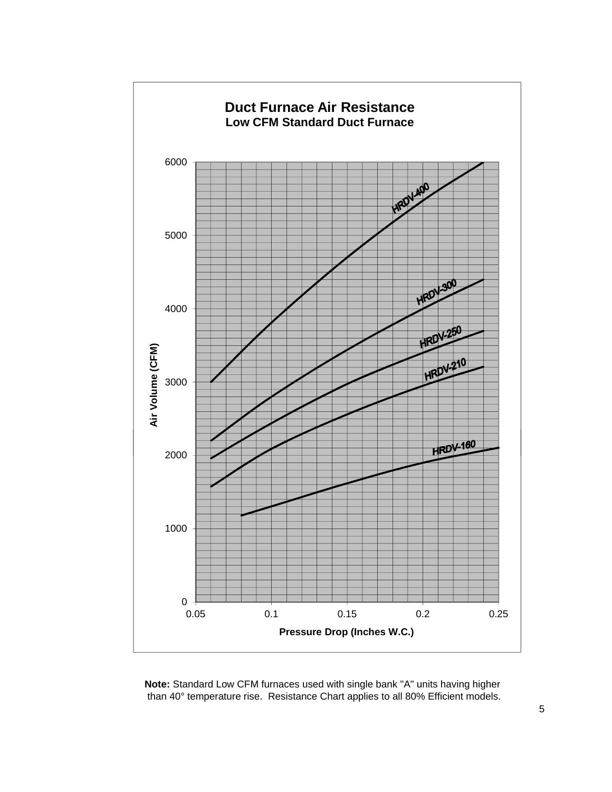

**Note:** Standard Low CFM furnaces used with single bank "A" units having higher than 40° temperature rise. Resistance Chart applies to all 80% Efficient models.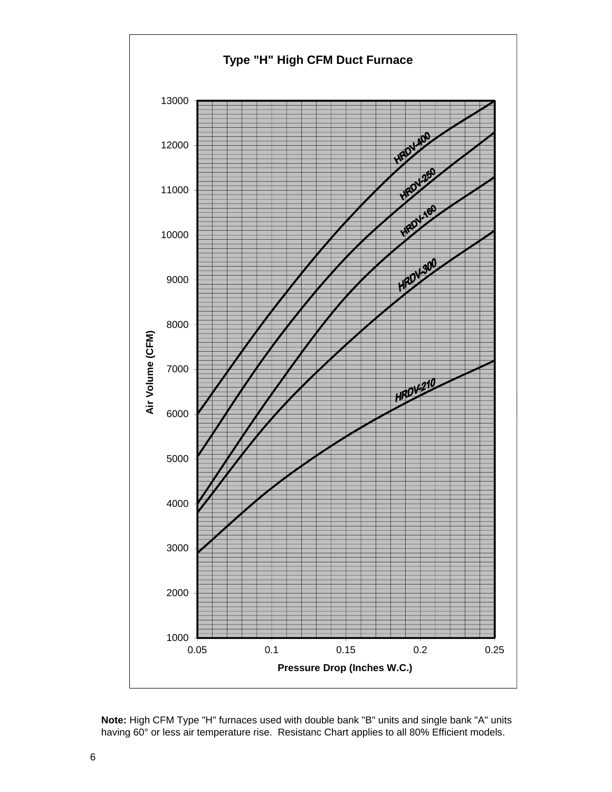

 **Note:** High CFM Type "H" furnaces used with double bank "B" units and single bank "A" units having 60° or less air temperature rise. Resistanc Chart applies to all 80% Efficient models.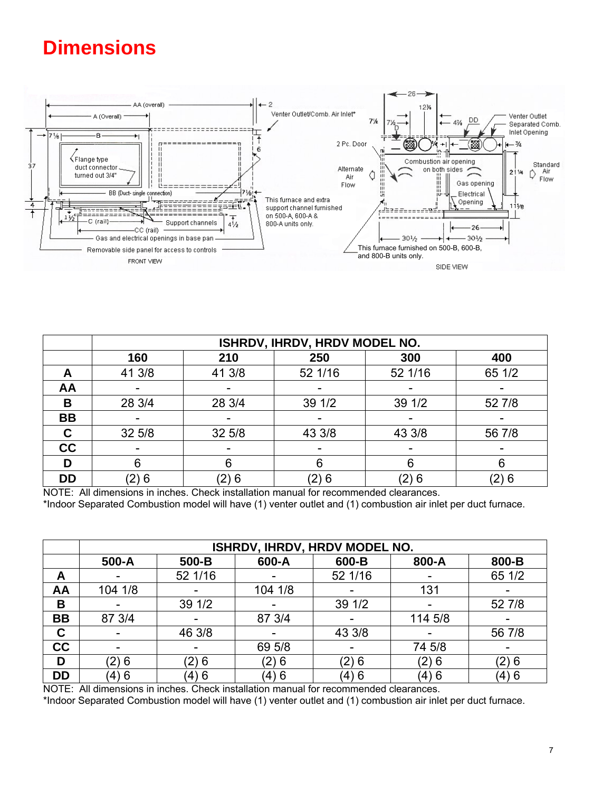# **Dimensions**



|           |        |        | ISHRDV, IHRDV, HRDV MODEL NO. |         |        |
|-----------|--------|--------|-------------------------------|---------|--------|
|           | 160    | 210    | 250                           | 300     | 400    |
| A         | 41 3/8 | 41 3/8 | 52 1/16                       | 52 1/16 | 65 1/2 |
| AA        |        |        |                               |         |        |
| B         | 28 3/4 | 28 3/4 | 39 1/2                        | 39 1/2  | 52 7/8 |
| <b>BB</b> |        |        |                               |         |        |
| C         | 32 5/8 | 32 5/8 | 43 3/8                        | 43 3/8  | 56 7/8 |
| cc        |        |        |                               |         |        |
| D         |        |        |                               |         |        |
| <b>DD</b> | (2) 6  | (2) 6  | (2) 6                         | (2) 6   | (2) 6  |

NOTE: All dimensions in inches. Check installation manual for recommended clearances. \*Indoor Separated Combustion model will have (1) venter outlet and (1) combustion air inlet per duct furnace.

|           |         |         | ISHRDV, IHRDV, HRDV MODEL NO. |         |         |        |
|-----------|---------|---------|-------------------------------|---------|---------|--------|
|           | 500-A   | 500-B   | 600-A                         | 600-B   | 800-A   | 800-B  |
| A         |         | 52 1/16 |                               | 52 1/16 |         | 65 1/2 |
| AA        | 104 1/8 |         | 104 1/8                       |         | 131     |        |
| B         |         | 39 1/2  |                               | 39 1/2  | -       | 52 7/8 |
| <b>BB</b> | 87 3/4  |         | 87 3/4                        |         | 114 5/8 |        |
| C         |         | 46 3/8  |                               | 43 3/8  |         | 56 7/8 |
| cc        |         |         | 69 5/8                        |         | 74 5/8  |        |
| D         | (2)6    | (2)6    | (2)6                          | (2) 6   | (2)6    | (2)6   |
| <b>DD</b> | (4)6    | (4) 6   | (4) 6                         | (4) 6   | (4) 6   | (4)6   |

NOTE: All dimensions in inches. Check installation manual for recommended clearances.

\*Indoor Separated Combustion model will have (1) venter outlet and (1) combustion air inlet per duct furnace.